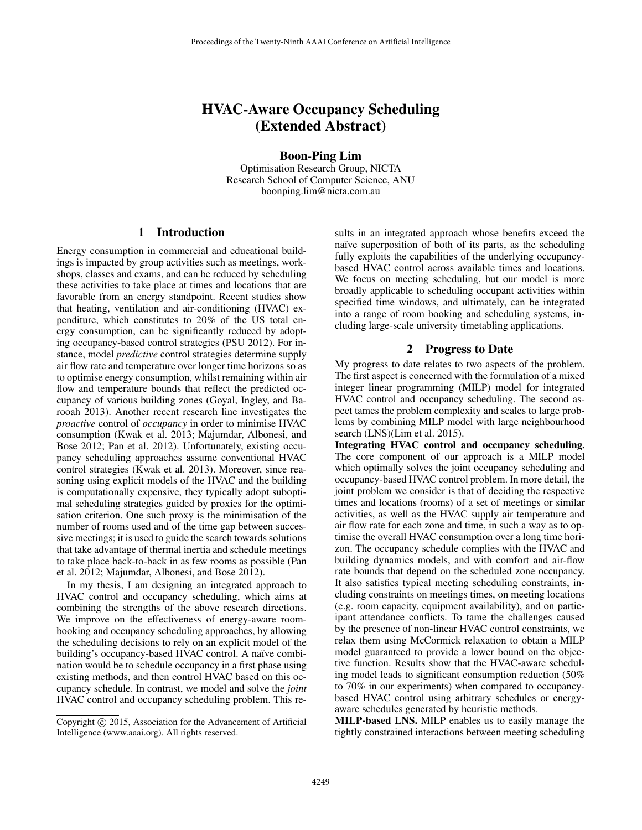# HVAC-Aware Occupancy Scheduling (Extended Abstract)

#### Boon-Ping Lim

Optimisation Research Group, NICTA Research School of Computer Science, ANU boonping.lim@nicta.com.au

# 1 Introduction

Energy consumption in commercial and educational buildings is impacted by group activities such as meetings, workshops, classes and exams, and can be reduced by scheduling these activities to take place at times and locations that are favorable from an energy standpoint. Recent studies show that heating, ventilation and air-conditioning (HVAC) expenditure, which constitutes to 20% of the US total energy consumption, can be significantly reduced by adopting occupancy-based control strategies (PSU 2012). For instance, model *predictive* control strategies determine supply air flow rate and temperature over longer time horizons so as to optimise energy consumption, whilst remaining within air flow and temperature bounds that reflect the predicted occupancy of various building zones (Goyal, Ingley, and Barooah 2013). Another recent research line investigates the *proactive* control of *occupancy* in order to minimise HVAC consumption (Kwak et al. 2013; Majumdar, Albonesi, and Bose 2012; Pan et al. 2012). Unfortunately, existing occupancy scheduling approaches assume conventional HVAC control strategies (Kwak et al. 2013). Moreover, since reasoning using explicit models of the HVAC and the building is computationally expensive, they typically adopt suboptimal scheduling strategies guided by proxies for the optimisation criterion. One such proxy is the minimisation of the number of rooms used and of the time gap between successive meetings; it is used to guide the search towards solutions that take advantage of thermal inertia and schedule meetings to take place back-to-back in as few rooms as possible (Pan et al. 2012; Majumdar, Albonesi, and Bose 2012).

In my thesis, I am designing an integrated approach to HVAC control and occupancy scheduling, which aims at combining the strengths of the above research directions. We improve on the effectiveness of energy-aware roombooking and occupancy scheduling approaches, by allowing the scheduling decisions to rely on an explicit model of the building's occupancy-based HVAC control. A naïve combination would be to schedule occupancy in a first phase using existing methods, and then control HVAC based on this occupancy schedule. In contrast, we model and solve the *joint* HVAC control and occupancy scheduling problem. This results in an integrated approach whose benefits exceed the naïve superposition of both of its parts, as the scheduling fully exploits the capabilities of the underlying occupancybased HVAC control across available times and locations. We focus on meeting scheduling, but our model is more broadly applicable to scheduling occupant activities within specified time windows, and ultimately, can be integrated into a range of room booking and scheduling systems, including large-scale university timetabling applications.

#### 2 Progress to Date

My progress to date relates to two aspects of the problem. The first aspect is concerned with the formulation of a mixed integer linear programming (MILP) model for integrated HVAC control and occupancy scheduling. The second aspect tames the problem complexity and scales to large problems by combining MILP model with large neighbourhood search (LNS)(Lim et al. 2015).

Integrating HVAC control and occupancy scheduling. The core component of our approach is a MILP model which optimally solves the joint occupancy scheduling and occupancy-based HVAC control problem. In more detail, the joint problem we consider is that of deciding the respective times and locations (rooms) of a set of meetings or similar activities, as well as the HVAC supply air temperature and air flow rate for each zone and time, in such a way as to optimise the overall HVAC consumption over a long time horizon. The occupancy schedule complies with the HVAC and building dynamics models, and with comfort and air-flow rate bounds that depend on the scheduled zone occupancy. It also satisfies typical meeting scheduling constraints, including constraints on meetings times, on meeting locations (e.g. room capacity, equipment availability), and on participant attendance conflicts. To tame the challenges caused by the presence of non-linear HVAC control constraints, we relax them using McCormick relaxation to obtain a MILP model guaranteed to provide a lower bound on the objective function. Results show that the HVAC-aware scheduling model leads to significant consumption reduction (50% to 70% in our experiments) when compared to occupancybased HVAC control using arbitrary schedules or energyaware schedules generated by heuristic methods.

MILP-based LNS. MILP enables us to easily manage the tightly constrained interactions between meeting scheduling

Copyright (c) 2015, Association for the Advancement of Artificial Intelligence (www.aaai.org). All rights reserved.